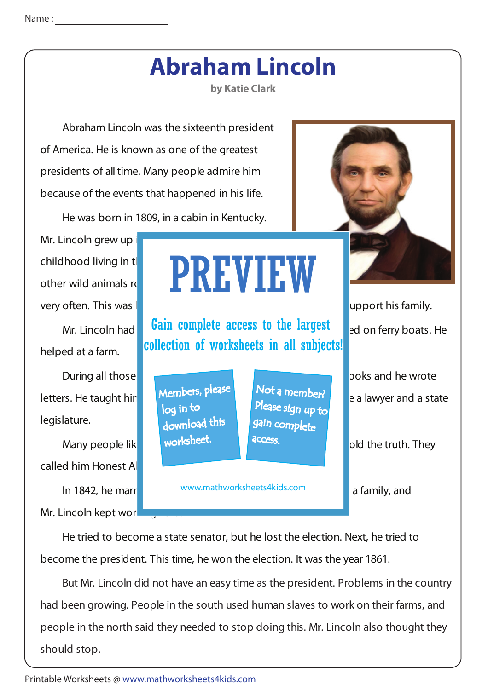## **Abraham Lincoln**

**by Katie Clark**

 Abraham Lincoln was the sixteenth president of America. He is known as one of the greatest presidents of all time. Many people admire him because of the events that happened in his life.

He was born in 1809, in a cabin in Kentucky.

Mr. Lincoln grew up very often. This was **because to work had to work here** to work he had to work he had to work helped to support his family.

helped at a farm.

legislature.

called him Honest Al

Mr. Lincoln kept wor

## childhood living in the woods, when when when we have been other wild animals roamed. **He did not go to school of the distribution of the distribution of the distribution of the distribution of the distribution of the distribution of the distribution of the distribution of the di** PREVIEW

Mr. Lincoln had **Gain complete access to the largest** and ed on ferry boats. He collection of worksheets in all subjects!

> Members, please download this worksheet. log in to

Not a member? gain complete Please sign up to **access** 

In 1842, he married a www.mathworksheets4kids.com a family, and www.mathworksheets4kids.com

During all those journal and to learn to learn to learn to learn to learn to learn to learn to learn to learn to learn to learn to learn to learn to learn to learn to learn to learn to learn to learn to learn to learn to l letters. He taught him  $\blacksquare$  Members,  $\blacksquare$  all all all all all all all above and a state

Many people like Marksheet. He seeds a hard worksheet and  $\blacksquare$  access.

 He tried to become a state senator, but he lost the election. Next, he tried to become the president. This time, he won the election. It was the year 1861.

 But Mr. Lincoln did not have an easy time as the president. Problems in the country had been growing. People in the south used human slaves to work on their farms, and people in the north said they needed to stop doing this. Mr. Lincoln also thought they should stop.

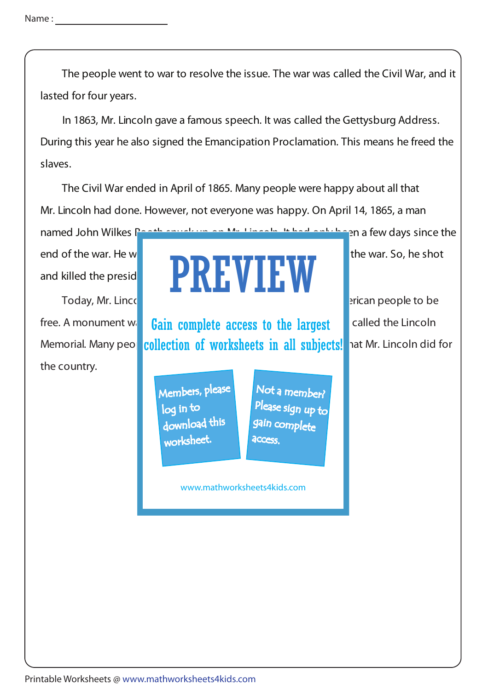The people went to war to resolve the issue. The war was called the Civil War, and it lasted for four years.

 In 1863, Mr. Lincoln gave a famous speech. It was called the Gettysburg Address. During this year he also signed the Emancipation Proclamation. This means he freed the slaves.

 The Civil War ended in April of 1865. Many people were happy about all that Mr. Lincoln had done. However, not everyone was happy. On April 14, 1865, a man

named John Wilkes Pooth smuck up on Mr. Lincoln. It had only been a few days since the and killed the presid

the country.



free. A monument we **Gain complete access to the largest** and called the Lincoln Memorial. Many peoproblection of worksheets in all subjects! hat Mr. Lincoln did for

Members, please download this worksheet. log in to

Not a member? gain complete Please sign up to **access** 

www.mathworksheets4kids.com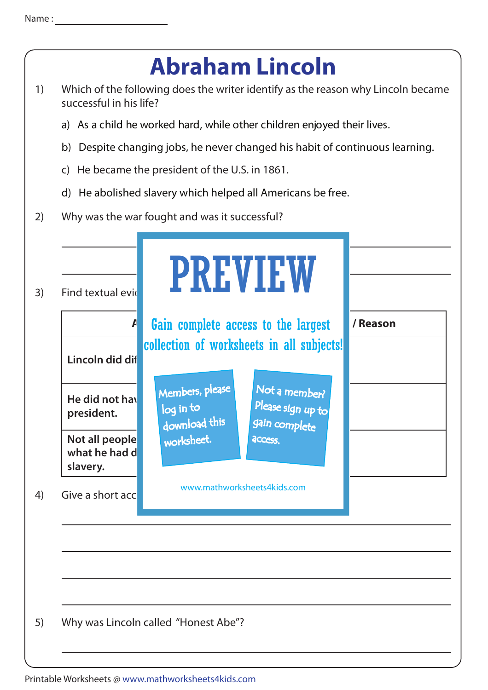

Printable Worksheets @ www.mathworksheets4kids.com